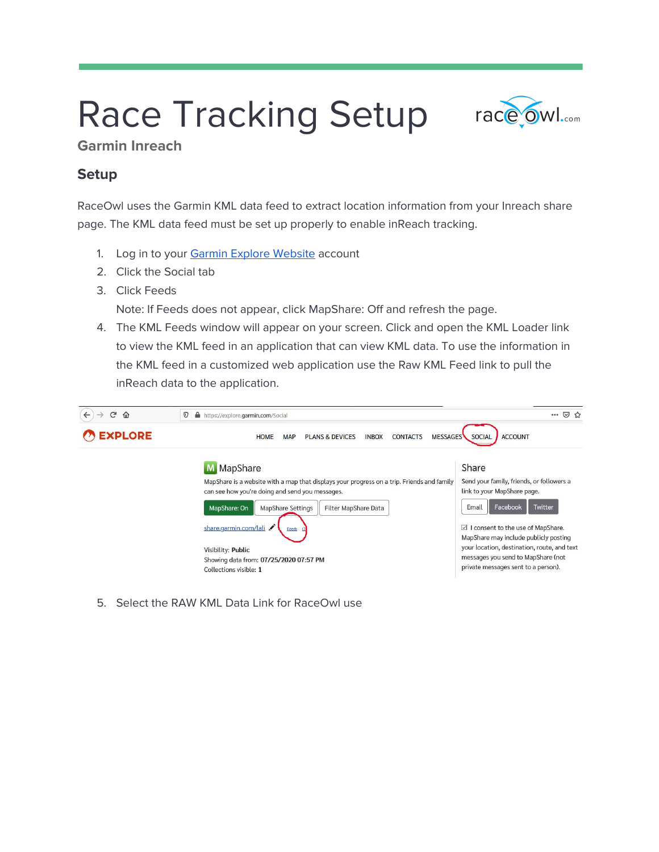# Race Tracking Setup race owl.....



**Garmin Inreach**

### **Setup**

RaceOwl uses the Garmin KML data feed to extract location information from your Inreach share page. The KML data feed must be set up properly to enable inReach tracking.

- 1. Log in to your Garmin Explore [Website](https://us0.explore.garmin.com/Account/LogOn?ReturnUrl=%2f) account
- 2. Click the Social tab
- 3. Click Feeds

Note: If Feeds does not appear, click MapShare: Off and refresh the page.

4. The KML Feeds window will appear on your screen. Click and open the KML Loader link to view the KML feed in an application that can view KML data. To use the information in the KML feed in a customized web application use the Raw KML Feed link to pull the inReach data to the application.

| ⇧<br>G<br>$\leftarrow$ | $^\copyright$<br>А.<br>https://explore.garmin.com/Social                                                                                         | $\cdots$ $\odot$<br>53                                                               |  |  |
|------------------------|--------------------------------------------------------------------------------------------------------------------------------------------------|--------------------------------------------------------------------------------------|--|--|
| <b>EXPLORE</b>         | <b>ACCOUNT</b><br><b>HOME</b><br><b>PLANS &amp; DEVICES</b><br><b>MESSAGES</b><br><b>SOCIAL</b><br><b>INBOX</b><br><b>CONTACTS</b><br><b>MAP</b> |                                                                                      |  |  |
|                        | M MapShare<br>MapShare is a website with a map that displays your progress on a trip. Friends and family                                         | Share<br>Send your family, friends, or followers a                                   |  |  |
|                        | can see how you're doing and send you messages.                                                                                                  | link to your MapShare page.                                                          |  |  |
|                        | MapShare: On<br><b>MapShare Settings</b><br>Filter MapShare Data                                                                                 | Facebook<br>Email<br>Twitter                                                         |  |  |
|                        | share.garmin.com/lali<br>Feeds                                                                                                                   | I consent to the use of MapShare.<br>$\vee$<br>MapShare may include publicly posting |  |  |
|                        | Visibility: Public                                                                                                                               | your location, destination, route, and text                                          |  |  |
|                        | Showing data from: 07/25/2020 07:57 PM                                                                                                           | messages you send to MapShare (not                                                   |  |  |
|                        | Collections visible: 1                                                                                                                           | private messages sent to a person).                                                  |  |  |

5. Select the RAW KML Data Link for RaceOwl use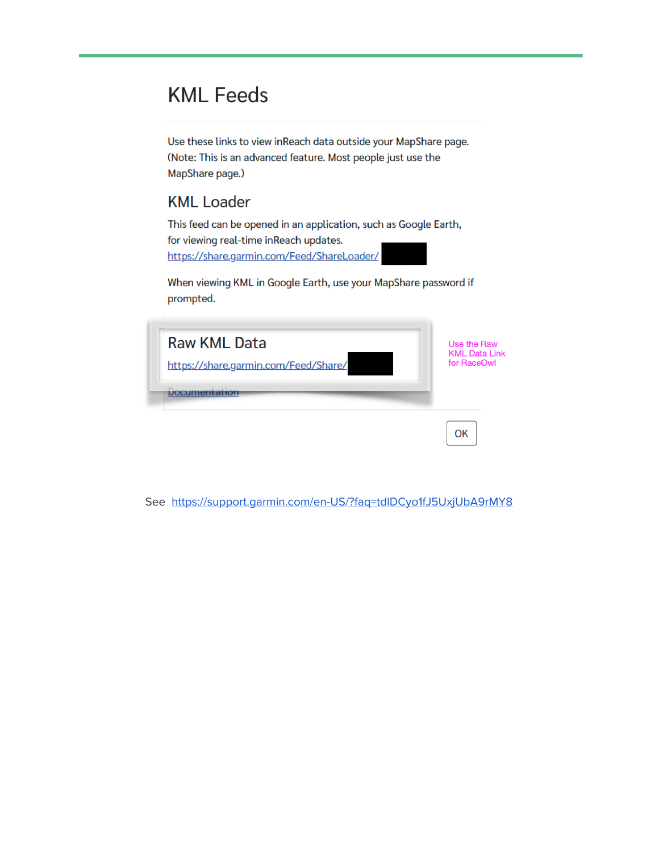# **KML Feeds**

Use these links to view inReach data outside your MapShare page. (Note: This is an advanced feature. Most people just use the MapShare page.)

## **KML Loader**

This feed can be opened in an application, such as Google Earth, for viewing real-time inReach updates. https://share.garmin.com/Feed/ShareLoader/

When viewing KML in Google Earth, use your MapShare password if prompted.

| <b>Raw KML Data</b>                  | Use the Raw          |
|--------------------------------------|----------------------|
| https://share.garmin.com/Feed/Share/ | <b>KML Data Link</b> |
| <b>Documentation</b>                 | for RaceOwl          |
|                                      | OK                   |

See https://support.garmin.com/en-US/?faq=tdlDCyo1fJ5UxjUbA9rMY8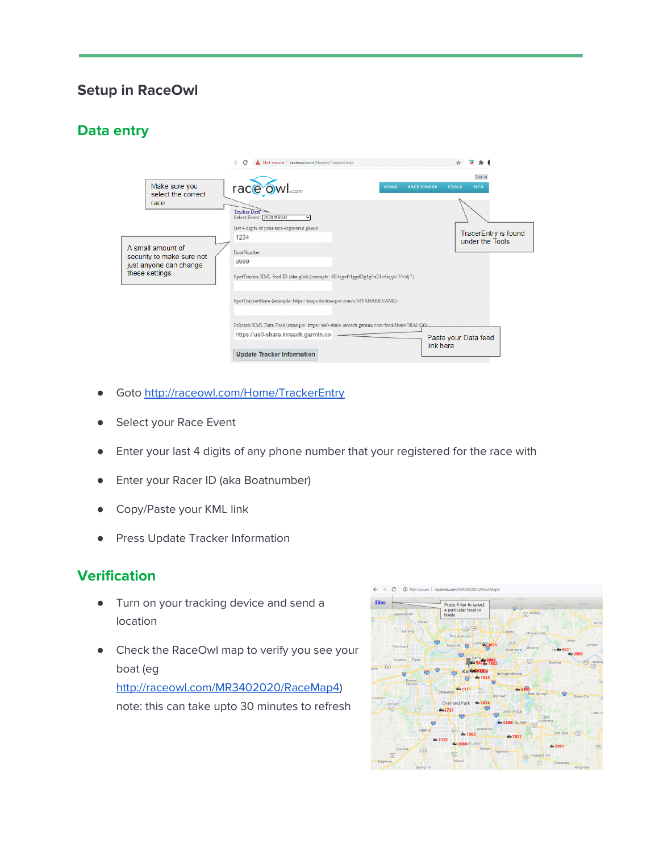### **Setup in RaceOwl**

#### **Data entry**

|                                                                                            | A Not secure   raceowl.com/Home/TrackerEntry<br>C                                                                              |                                       |
|--------------------------------------------------------------------------------------------|--------------------------------------------------------------------------------------------------------------------------------|---------------------------------------|
| Make sure you<br>select the correct                                                        | race owl<br><b>RACE FINDER</b><br><b>HOME</b>                                                                                  | Log in<br><b>INFO</b><br><b>TOOLS</b> |
| race                                                                                       | Tracker Data<br>Select Event: 2020 MR340<br>last 4 digits of your race-registered phone                                        | TracerEntry is found                  |
| A small amount of<br>security to make sure not<br>just anyone can change<br>these settings | 1234<br><b>BoatNumber</b><br>9999<br>SpotTracker XML feed ID (aka glid) (example: 0E4qgefr1ggdDg1g3xE1e6iqqh1Vvldj7)           | under the Tools                       |
|                                                                                            | SpotTrackerShare (example: https://maps.findmespot.com/s/MYSHARENAME)                                                          |                                       |
|                                                                                            | InReach KML Data Feed (example: https://us0-share.inreach.garmin.com/feed/Share/HIALGOL<br>https://us0-share.inreach.garmin.co | Paste your Data feed<br>link here     |
|                                                                                            | <b>Update Tracker Information</b>                                                                                              |                                       |

- Goto <http://raceowl.com/Home/TrackerEntry>
- Select your Race Event
- Enter your last 4 digits of any phone number that your registered for the race with
- Enter your Racer ID (aka Boatnumber)
- Copy/Paste your KML link
- Press Update Tracker Information

#### **Verification**

- Turn on your tracking device and send a location
- Check the RaceOwl map to verify you see your boat (eg [http://raceowl.com/MR3402020/RaceMap4\)](http://raceowl.com/MR3402020/RaceMap4)

note: this can take upto 30 minutes to refresh